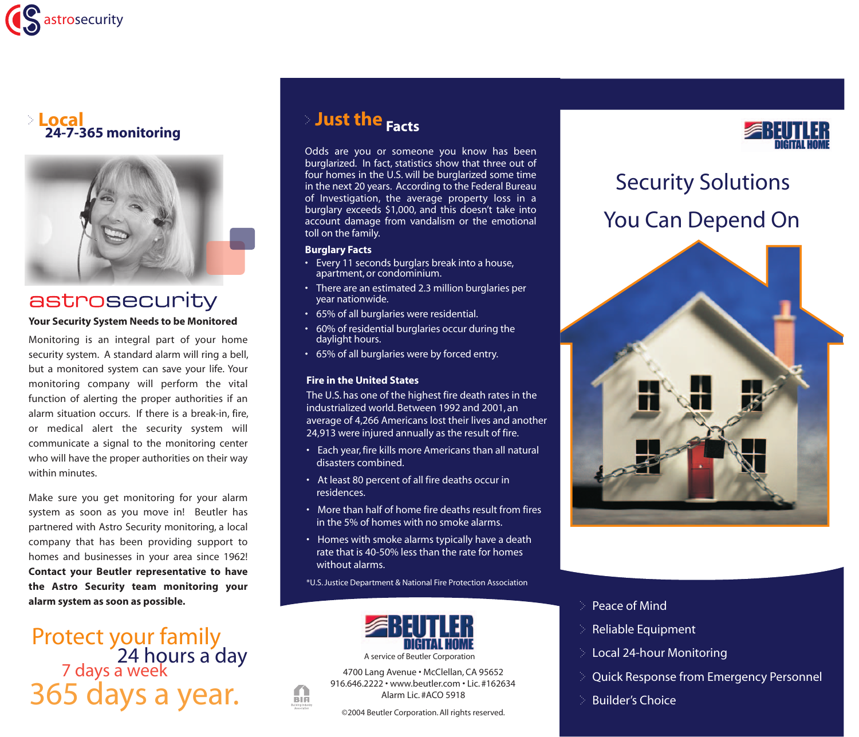



### astrosecurity

#### **Your Security System Needs to be Monitored**

Monitoring is an integral part of your home security system. A standard alarm will ring a bell, but a monitored system can save your life. Your monitoring company will perform the vital function of alerting the proper authorities if an alarm situation occurs. If there is a break-in, fire, or medical alert the security system will communicate a signal to the monitoring center who will have the proper authorities on their way within minutes.

Make sure you get monitoring for your alarm system as soon as you move in! Beutler has partnered with Astro Security monitoring, a local company that has been providing support to homes and businesses in your area since 1962! **Contact your Beutler representative to have the Astro Security team monitoring your alarm system as soon as possible.** 

Protect your family<br>24 hours a day<br>7 days a week 365 days a year.

### **Just the Facts**

Odds are you or someone you know has been burglarized. In fact, statistics show that three out of four homes in the U.S. will be burglarized some time in the next 20 years. According to the Federal Bureau of Investigation, the average property loss in a burglary exceeds \$1,000, and this doesn't take into account damage from vandalism or the emotional toll on the family.

#### **Burglary Facts**

- Every 11 seconds burglars break into a house, apartment, or condominium.
- There are an estimated 2.3 million burglaries per year nationwide.
- 65% of all burglaries were residential.
- 60% of residential burglaries occur during the daylight hours.
- 65% of all burglaries were by forced entry.

### **Fire in the United States**

The U.S. has one of the highest fire death rates in the industrialized world. Between 1992 and 2001, an average of 4,266 Americans lost their lives and another 24,913 were injured annually as the result of fire.

- Each year, fire kills more Americans than all natural disasters combined.
- At least 80 percent of all fire deaths occur in residences.
- More than half of home fire deaths result from fires in the 5% of homes with no smoke alarms.
- Homes with smoke alarms typically have a death rate that is 40-50% less than the rate for homes without alarms.

\*U.S. Justice Department & National Fire Protection Association



A service of Beutler Corporation

4700 Lang Avenue • McClellan, CA 95652 916.646.2222 • www.beutler.com • Lic. #162634 Alarm Lic. #ACO 5918

m **BIA** 

©2004 Beutler Corporation. All rights reserved.



# Security Solutions You Can Depend On



### Peace of Mind

- Reliable Equipment
- Local 24-hour Monitoring
- Quick Response from Emergency Personnel
- Builder's Choice